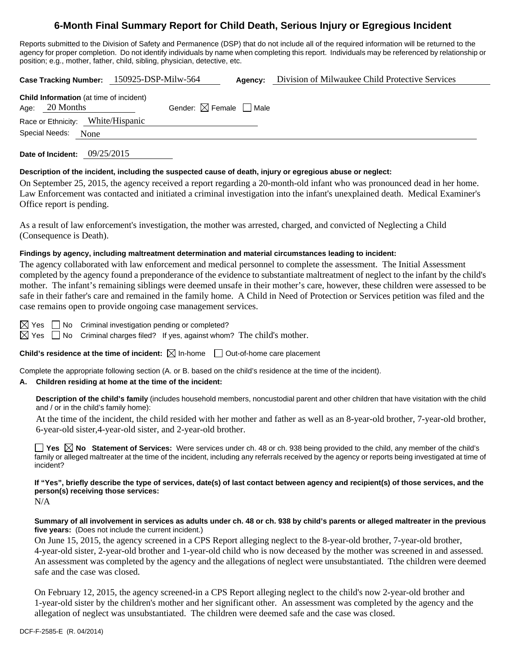# **6-Month Final Summary Report for Child Death, Serious Injury or Egregious Incident**

Reports submitted to the Division of Safety and Permanence (DSP) that do not include all of the required information will be returned to the agency for proper completion. Do not identify individuals by name when completing this report. Individuals may be referenced by relationship or position; e.g., mother, father, child, sibling, physician, detective, etc.

|  |                                                                  |      | Case Tracking Number: 150925-DSP-Milw-564 |                                        | Agency: | Division of Milwaukee Child Protective Services |  |  |
|--|------------------------------------------------------------------|------|-------------------------------------------|----------------------------------------|---------|-------------------------------------------------|--|--|
|  | <b>Child Information</b> (at time of incident)<br>Age: 20 Months |      |                                           | Gender: $\boxtimes$ Female $\Box$ Male |         |                                                 |  |  |
|  | Race or Ethnicity: White/Hispanic                                |      |                                           |                                        |         |                                                 |  |  |
|  | Special Needs:                                                   | None |                                           |                                        |         |                                                 |  |  |

**Date of Incident:** 09/25/2015

#### **Description of the incident, including the suspected cause of death, injury or egregious abuse or neglect:**

On September 25, 2015, the agency received a report regarding a 20-month-old infant who was pronounced dead in her home. Law Enforcement was contacted and initiated a criminal investigation into the infant's unexplained death. Medical Examiner's Office report is pending.

As a result of law enforcement's investigation, the mother was arrested, charged, and convicted of Neglecting a Child (Consequence is Death).

#### **Findings by agency, including maltreatment determination and material circumstances leading to incident:**

The agency collaborated with law enforcement and medical personnel to complete the assessment. The Initial Assessment completed by the agency found a preponderance of the evidence to substantiate maltreatment of neglect to the infant by the child's mother. The infant's remaining siblings were deemed unsafe in their mother's care, however, these children were assessed to be safe in their father's care and remained in the family home. A Child in Need of Protection or Services petition was filed and the case remains open to provide ongoing case management services.

 $\boxtimes$  Yes  $\Box$  No Criminal investigation pending or completed?

 $\boxtimes$  Yes  $\Box$  No Criminal charges filed? If yes, against whom? The child's mother.

**Child's residence at the time of incident:**  $\boxtimes$  In-home  $\Box$  Out-of-home care placement

Complete the appropriate following section (A. or B. based on the child's residence at the time of the incident).

## **A. Children residing at home at the time of the incident:**

**Description of the child's family** (includes household members, noncustodial parent and other children that have visitation with the child and / or in the child's family home):

 At the time of the incident, the child resided with her mother and father as well as an 8-year-old brother, 7-year-old brother, 6-year-old sister,4-year-old sister, and 2-year-old brother.

**Yes No** Statement of Services: Were services under ch. 48 or ch. 938 being provided to the child, any member of the child's family or alleged maltreater at the time of the incident, including any referrals received by the agency or reports being investigated at time of incident?

**If "Yes", briefly describe the type of services, date(s) of last contact between agency and recipient(s) of those services, and the person(s) receiving those services:** 

N/A

**Summary of all involvement in services as adults under ch. 48 or ch. 938 by child's parents or alleged maltreater in the previous five years:** (Does not include the current incident.)

On June 15, 2015, the agency screened in a CPS Report alleging neglect to the 8-year-old brother, 7-year-old brother, 4-year-old sister, 2-year-old brother and 1-year-old child who is now deceased by the mother was screened in and assessed. An assessment was completed by the agency and the allegations of neglect were unsubstantiated. Tthe children were deemed safe and the case was closed.

On February 12, 2015, the agency screened-in a CPS Report alleging neglect to the child's now 2-year-old brother and 1-year-old sister by the children's mother and her significant other. An assessment was completed by the agency and the allegation of neglect was unsubstantiated. The children were deemed safe and the case was closed.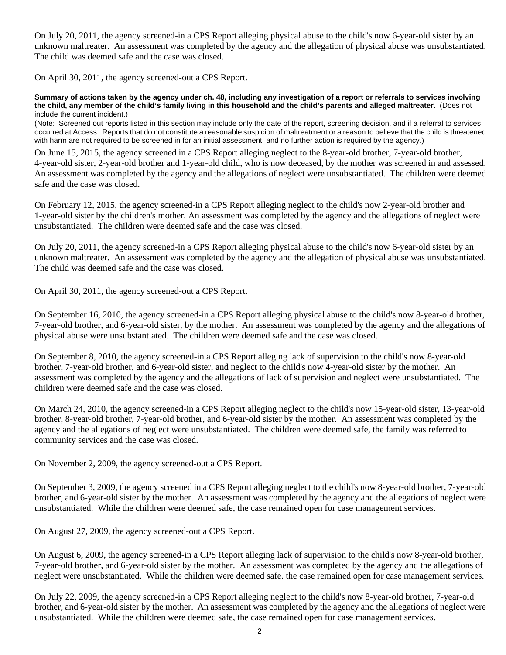On July 20, 2011, the agency screened-in a CPS Report alleging physical abuse to the child's now 6-year-old sister by an unknown maltreater. An assessment was completed by the agency and the allegation of physical abuse was unsubstantiated. The child was deemed safe and the case was closed.

On April 30, 2011, the agency screened-out a CPS Report.

#### **Summary of actions taken by the agency under ch. 48, including any investigation of a report or referrals to services involving the child, any member of the child's family living in this household and the child's parents and alleged maltreater.** (Does not include the current incident.)

(Note: Screened out reports listed in this section may include only the date of the report, screening decision, and if a referral to services occurred at Access. Reports that do not constitute a reasonable suspicion of maltreatment or a reason to believe that the child is threatened with harm are not required to be screened in for an initial assessment, and no further action is required by the agency.)

On June 15, 2015, the agency screened in a CPS Report alleging neglect to the 8-year-old brother, 7-year-old brother, 4-year-old sister, 2-year-old brother and 1-year-old child, who is now deceased, by the mother was screened in and assessed. An assessment was completed by the agency and the allegations of neglect were unsubstantiated. The children were deemed safe and the case was closed.

On February 12, 2015, the agency screened-in a CPS Report alleging neglect to the child's now 2-year-old brother and 1-year-old sister by the children's mother. An assessment was completed by the agency and the allegations of neglect were unsubstantiated. The children were deemed safe and the case was closed.

On July 20, 2011, the agency screened-in a CPS Report alleging physical abuse to the child's now 6-year-old sister by an unknown maltreater. An assessment was completed by the agency and the allegation of physical abuse was unsubstantiated. The child was deemed safe and the case was closed.

On April 30, 2011, the agency screened-out a CPS Report.

On September 16, 2010, the agency screened-in a CPS Report alleging physical abuse to the child's now 8-year-old brother, 7-year-old brother, and 6-year-old sister, by the mother. An assessment was completed by the agency and the allegations of physical abuse were unsubstantiated. The children were deemed safe and the case was closed.

On September 8, 2010, the agency screened-in a CPS Report alleging lack of supervision to the child's now 8-year-old brother, 7-year-old brother, and 6-year-old sister, and neglect to the child's now 4-year-old sister by the mother. An assessment was completed by the agency and the allegations of lack of supervision and neglect were unsubstantiated. The children were deemed safe and the case was closed.

On March 24, 2010, the agency screened-in a CPS Report alleging neglect to the child's now 15-year-old sister, 13-year-old brother, 8-year-old brother, 7-year-old brother, and 6-year-old sister by the mother. An assessment was completed by the agency and the allegations of neglect were unsubstantiated. The children were deemed safe, the family was referred to community services and the case was closed.

On November 2, 2009, the agency screened-out a CPS Report.

On September 3, 2009, the agency screened in a CPS Report alleging neglect to the child's now 8-year-old brother, 7-year-old brother, and 6-year-old sister by the mother. An assessment was completed by the agency and the allegations of neglect were unsubstantiated. While the children were deemed safe, the case remained open for case management services.

On August 27, 2009, the agency screened-out a CPS Report.

On August 6, 2009, the agency screened-in a CPS Report alleging lack of supervision to the child's now 8-year-old brother, 7-year-old brother, and 6-year-old sister by the mother. An assessment was completed by the agency and the allegations of neglect were unsubstantiated. While the children were deemed safe. the case remained open for case management services.

On July 22, 2009, the agency screened-in a CPS Report alleging neglect to the child's now 8-year-old brother, 7-year-old brother, and 6-year-old sister by the mother. An assessment was completed by the agency and the allegations of neglect were unsubstantiated. While the children were deemed safe, the case remained open for case management services.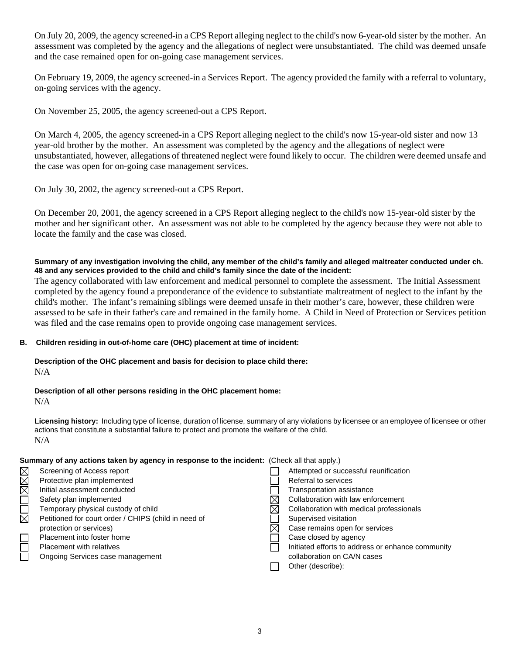On July 20, 2009, the agency screened-in a CPS Report alleging neglect to the child's now 6-year-old sister by the mother. An assessment was completed by the agency and the allegations of neglect were unsubstantiated. The child was deemed unsafe and the case remained open for on-going case management services.

On February 19, 2009, the agency screened-in a Services Report. The agency provided the family with a referral to voluntary, on-going services with the agency.

On November 25, 2005, the agency screened-out a CPS Report.

On March 4, 2005, the agency screened-in a CPS Report alleging neglect to the child's now 15-year-old sister and now 13 year-old brother by the mother. An assessment was completed by the agency and the allegations of neglect were unsubstantiated, however, allegations of threatened neglect were found likely to occur. The children were deemed unsafe and the case was open for on-going case management services.

On July 30, 2002, the agency screened-out a CPS Report.

On December 20, 2001, the agency screened in a CPS Report alleging neglect to the child's now 15-year-old sister by the mother and her significant other. An assessment was not able to be completed by the agency because they were not able to locate the family and the case was closed.

#### **Summary of any investigation involving the child, any member of the child's family and alleged maltreater conducted under ch. 48 and any services provided to the child and child's family since the date of the incident:**

The agency collaborated with law enforcement and medical personnel to complete the assessment. The Initial Assessment completed by the agency found a preponderance of the evidence to substantiate maltreatment of neglect to the infant by the child's mother. The infant's remaining siblings were deemed unsafe in their mother's care, however, these children were assessed to be safe in their father's care and remained in the family home. A Child in Need of Protection or Services petition was filed and the case remains open to provide ongoing case management services.

#### **B. Children residing in out-of-home care (OHC) placement at time of incident:**

#### **Description of the OHC placement and basis for decision to place child there:**  N/A

# **Description of all other persons residing in the OHC placement home:**

 $N/A$ 

**Licensing history:** Including type of license, duration of license, summary of any violations by licensee or an employee of licensee or other actions that constitute a substantial failure to protect and promote the welfare of the child. N/A

#### **Summary of any actions taken by agency in response to the incident:** (Check all that apply.)

| $\boxtimes$           | Screening of Access report                           | Attempted or successful reunification             |
|-----------------------|------------------------------------------------------|---------------------------------------------------|
|                       | Protective plan implemented                          | Referral to services                              |
| $\boxtimes \boxtimes$ | Initial assessment conducted                         | Transportation assistance                         |
|                       | Safety plan implemented                              | Collaboration with law enforcement                |
|                       | Temporary physical custody of child                  | Collaboration with medical professionals          |
| $\boxtimes$           | Petitioned for court order / CHIPS (child in need of | Supervised visitation                             |
|                       | protection or services)                              | Case remains open for services                    |
|                       | Placement into foster home                           | Case closed by agency                             |
|                       | Placement with relatives                             | Initiated efforts to address or enhance community |
|                       | Ongoing Services case management                     | collaboration on CA/N cases                       |
|                       |                                                      | Other (describe):                                 |
|                       |                                                      |                                                   |